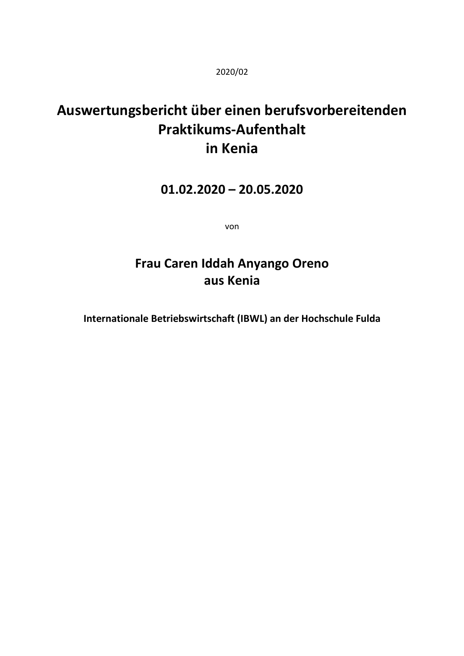2020/02

# **Auswertungsbericht über einen berufsvorbereitenden Praktikums-Aufenthalt in Kenia**

### **01.02.2020 – 20.05.2020**

von

## **Frau Caren Iddah Anyango Oreno aus Kenia**

**Internationale Betriebswirtschaft (IBWL) an der Hochschule Fulda**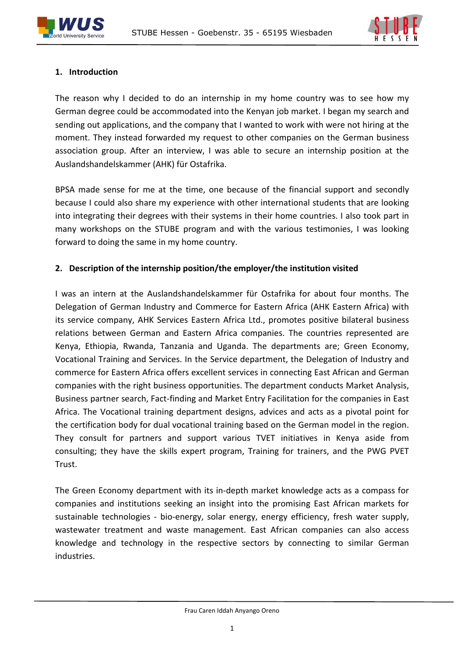



#### **1. Introduction**

The reason why I decided to do an internship in my home country was to see how my German degree could be accommodated into the Kenyan job market. I began my search and sending out applications, and the company that I wanted to work with were not hiring at the moment. They instead forwarded my request to other companies on the German business association group. After an interview, I was able to secure an internship position at the Auslandshandelskammer (AHK) für Ostafrika.

BPSA made sense for me at the time, one because of the financial support and secondly because I could also share my experience with other international students that are looking into integrating their degrees with their systems in their home countries. I also took part in many workshops on the STUBE program and with the various testimonies, I was looking forward to doing the same in my home country.

#### **2. Description of the internship position/the employer/the institution visited**

I was an intern at the Auslandshandelskammer für Ostafrika for about four months. The Delegation of German Industry and Commerce for Eastern Africa (AHK Eastern Africa) with its service company, AHK Services Eastern Africa Ltd., promotes positive bilateral business relations between German and Eastern Africa companies. The countries represented are Kenya, Ethiopia, Rwanda, Tanzania and Uganda. The departments are; Green Economy, Vocational Training and Services. In the Service department, the Delegation of Industry and commerce for Eastern Africa offers excellent services in connecting East African and German companies with the right business opportunities. The department conducts Market Analysis, Business partner search, Fact-finding and Market Entry Facilitation for the companies in East Africa. The Vocational training department designs, advices and acts as a pivotal point for the certification body for dual vocational training based on the German model in the region. They consult for partners and support various TVET initiatives in Kenya aside from consulting; they have the skills expert program, Training for trainers, and the PWG PVET Trust.

The Green Economy department with its in-depth market knowledge acts as a compass for companies and institutions seeking an insight into the promising East African markets for sustainable technologies - bio-energy, solar energy, energy efficiency, fresh water supply, wastewater treatment and waste management. East African companies can also access knowledge and technology in the respective sectors by connecting to similar German industries.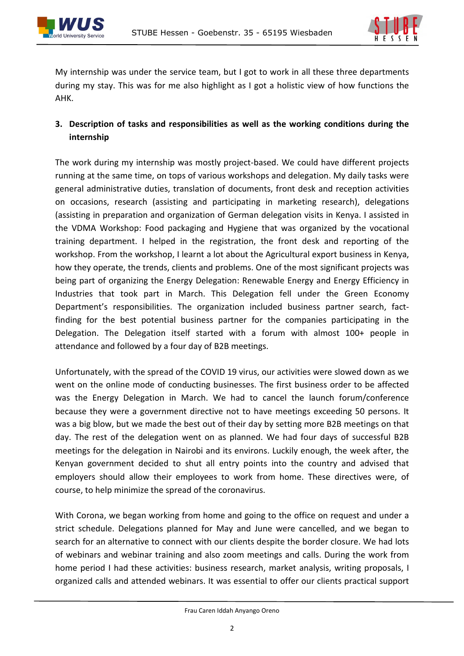



My internship was under the service team, but I got to work in all these three departments during my stay. This was for me also highlight as I got a holistic view of how functions the AHK.

#### **3. Description of tasks and responsibilities as well as the working conditions during the internship**

The work during my internship was mostly project-based. We could have different projects running at the same time, on tops of various workshops and delegation. My daily tasks were general administrative duties, translation of documents, front desk and reception activities on occasions, research (assisting and participating in marketing research), delegations (assisting in preparation and organization of German delegation visits in Kenya. I assisted in the VDMA Workshop: Food packaging and Hygiene that was organized by the vocational training department. I helped in the registration, the front desk and reporting of the workshop. From the workshop, I learnt a lot about the Agricultural export business in Kenya, how they operate, the trends, clients and problems. One of the most significant projects was being part of organizing the Energy Delegation: Renewable Energy and Energy Efficiency in Industries that took part in March. This Delegation fell under the Green Economy Department's responsibilities. The organization included business partner search, factfinding for the best potential business partner for the companies participating in the Delegation. The Delegation itself started with a forum with almost 100+ people in attendance and followed by a four day of B2B meetings.

Unfortunately, with the spread of the COVID 19 virus, our activities were slowed down as we went on the online mode of conducting businesses. The first business order to be affected was the Energy Delegation in March. We had to cancel the launch forum/conference because they were a government directive not to have meetings exceeding 50 persons. It was a big blow, but we made the best out of their day by setting more B2B meetings on that day. The rest of the delegation went on as planned. We had four days of successful B2B meetings for the delegation in Nairobi and its environs. Luckily enough, the week after, the Kenyan government decided to shut all entry points into the country and advised that employers should allow their employees to work from home. These directives were, of course, to help minimize the spread of the coronavirus.

With Corona, we began working from home and going to the office on request and under a strict schedule. Delegations planned for May and June were cancelled, and we began to search for an alternative to connect with our clients despite the border closure. We had lots of webinars and webinar training and also zoom meetings and calls. During the work from home period I had these activities: business research, market analysis, writing proposals, I organized calls and attended webinars. It was essential to offer our clients practical support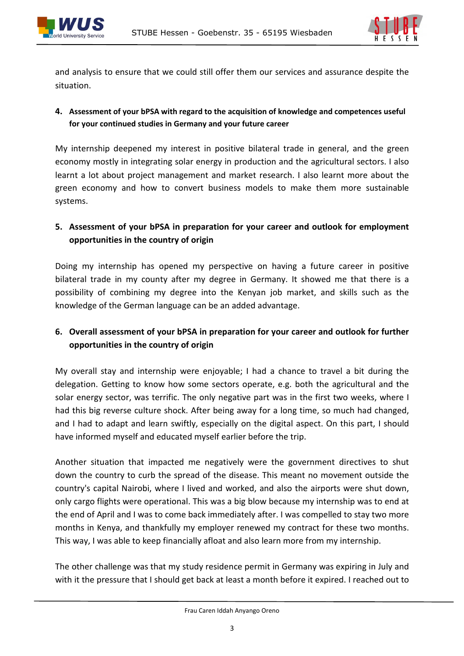



and analysis to ensure that we could still offer them our services and assurance despite the situation.

#### **4. Assessment of your bPSA with regard to the acquisition of knowledge and competences useful for your continued studies in Germany and your future career**

My internship deepened my interest in positive bilateral trade in general, and the green economy mostly in integrating solar energy in production and the agricultural sectors. I also learnt a lot about project management and market research. I also learnt more about the green economy and how to convert business models to make them more sustainable systems.

#### **5. Assessment of your bPSA in preparation for your career and outlook for employment opportunities in the country of origin**

Doing my internship has opened my perspective on having a future career in positive bilateral trade in my county after my degree in Germany. It showed me that there is a possibility of combining my degree into the Kenyan job market, and skills such as the knowledge of the German language can be an added advantage.

#### **6. Overall assessment of your bPSA in preparation for your career and outlook for further opportunities in the country of origin**

My overall stay and internship were enjoyable; I had a chance to travel a bit during the delegation. Getting to know how some sectors operate, e.g. both the agricultural and the solar energy sector, was terrific. The only negative part was in the first two weeks, where I had this big reverse culture shock. After being away for a long time, so much had changed, and I had to adapt and learn swiftly, especially on the digital aspect. On this part, I should have informed myself and educated myself earlier before the trip.

Another situation that impacted me negatively were the government directives to shut down the country to curb the spread of the disease. This meant no movement outside the country's capital Nairobi, where I lived and worked, and also the airports were shut down, only cargo flights were operational. This was a big blow because my internship was to end at the end of April and I was to come back immediately after. I was compelled to stay two more months in Kenya, and thankfully my employer renewed my contract for these two months. This way, I was able to keep financially afloat and also learn more from my internship.

The other challenge was that my study residence permit in Germany was expiring in July and with it the pressure that I should get back at least a month before it expired. I reached out to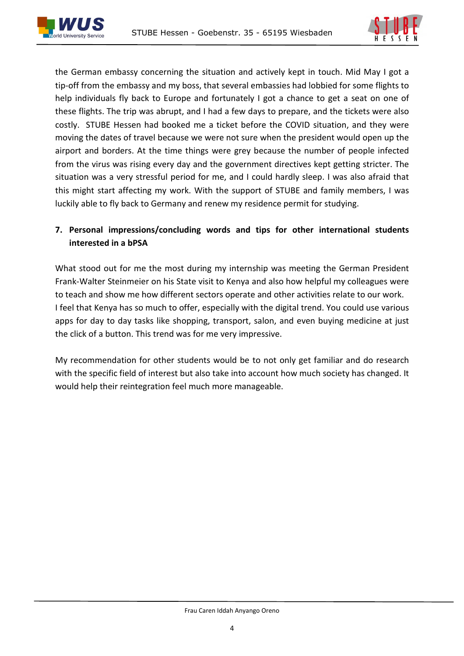



the German embassy concerning the situation and actively kept in touch. Mid May I got a tip-off from the embassy and my boss, that several embassies had lobbied for some flights to help individuals fly back to Europe and fortunately I got a chance to get a seat on one of these flights. The trip was abrupt, and I had a few days to prepare, and the tickets were also costly. STUBE Hessen had booked me a ticket before the COVID situation, and they were moving the dates of travel because we were not sure when the president would open up the airport and borders. At the time things were grey because the number of people infected from the virus was rising every day and the government directives kept getting stricter. The situation was a very stressful period for me, and I could hardly sleep. I was also afraid that this might start affecting my work. With the support of STUBE and family members, I was luckily able to fly back to Germany and renew my residence permit for studying.

#### **7. Personal impressions/concluding words and tips for other international students interested in a bPSA**

What stood out for me the most during my internship was meeting the German President Frank-Walter Steinmeier on his State visit to Kenya and also how helpful my colleagues were to teach and show me how different sectors operate and other activities relate to our work. I feel that Kenya has so much to offer, especially with the digital trend. You could use various apps for day to day tasks like shopping, transport, salon, and even buying medicine at just the click of a button. This trend was for me very impressive.

My recommendation for other students would be to not only get familiar and do research with the specific field of interest but also take into account how much society has changed. It would help their reintegration feel much more manageable.